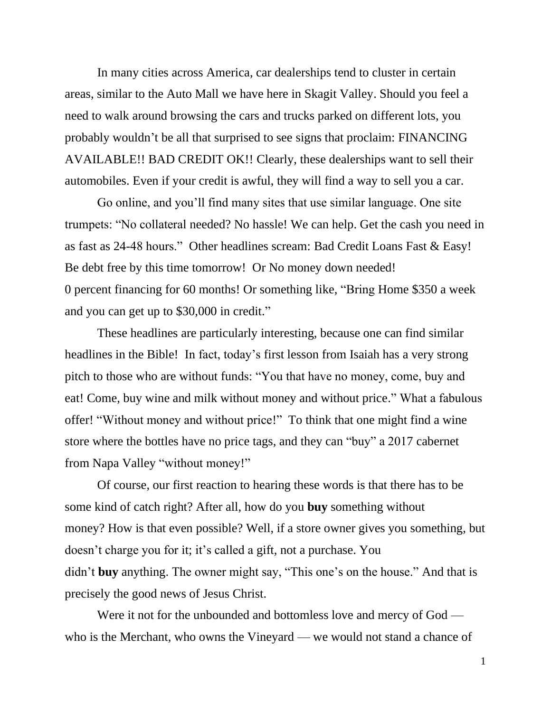In many cities across America, car dealerships tend to cluster in certain areas, similar to the Auto Mall we have here in Skagit Valley. Should you feel a need to walk around browsing the cars and trucks parked on different lots, you probably wouldn't be all that surprised to see signs that proclaim: FINANCING AVAILABLE!! BAD CREDIT OK!! Clearly, these dealerships want to sell their automobiles. Even if your credit is awful, they will find a way to sell you a car.

Go online, and you'll find many sites that use similar language. One site trumpets: "No collateral needed? No hassle! We can help. Get the cash you need in as fast as 24-48 hours." Other headlines scream: Bad Credit Loans Fast & Easy! Be debt free by this time tomorrow! Or No money down needed! 0 percent financing for 60 months! Or something like, "Bring Home \$350 a week and you can get up to \$30,000 in credit."

These headlines are particularly interesting, because one can find similar headlines in the Bible! In fact, today's first lesson from Isaiah has a very strong pitch to those who are without funds: "You that have no money, come, buy and eat! Come, buy wine and milk without money and without price." What a fabulous offer! "Without money and without price!" To think that one might find a wine store where the bottles have no price tags, and they can "buy" a 2017 cabernet from Napa Valley "without money!"

Of course, our first reaction to hearing these words is that there has to be some kind of catch right? After all, how do you **buy** something without money? How is that even possible? Well, if a store owner gives you something, but doesn't charge you for it; it's called a gift, not a purchase. You didn't **buy** anything. The owner might say, "This one's on the house." And that is precisely the good news of Jesus Christ.

Were it not for the unbounded and bottomless love and mercy of God who is the Merchant, who owns the Vineyard — we would not stand a chance of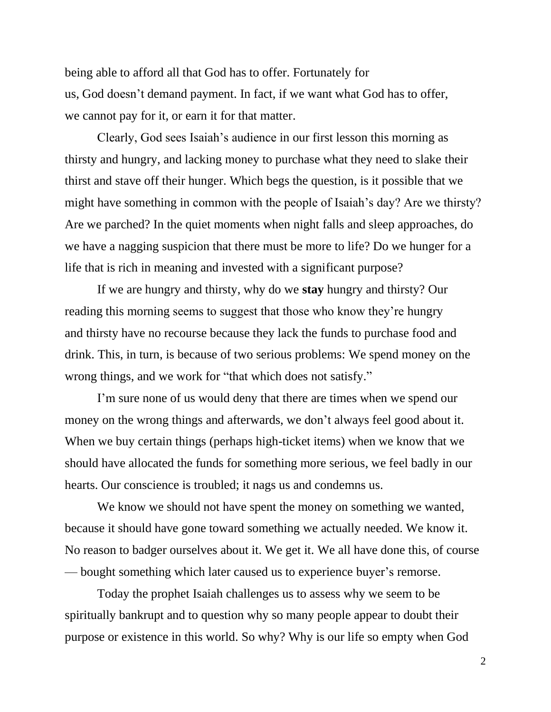being able to afford all that God has to offer. Fortunately for us, God doesn't demand payment. In fact, if we want what God has to offer, we cannot pay for it, or earn it for that matter.

Clearly, God sees Isaiah's audience in our first lesson this morning as thirsty and hungry, and lacking money to purchase what they need to slake their thirst and stave off their hunger. Which begs the question, is it possible that we might have something in common with the people of Isaiah's day? Are we thirsty? Are we parched? In the quiet moments when night falls and sleep approaches, do we have a nagging suspicion that there must be more to life? Do we hunger for a life that is rich in meaning and invested with a significant purpose?

If we are hungry and thirsty, why do we **stay** hungry and thirsty? Our reading this morning seems to suggest that those who know they're hungry and thirsty have no recourse because they lack the funds to purchase food and drink. This, in turn, is because of two serious problems: We spend money on the wrong things, and we work for "that which does not satisfy."

I'm sure none of us would deny that there are times when we spend our money on the wrong things and afterwards, we don't always feel good about it. When we buy certain things (perhaps high-ticket items) when we know that we should have allocated the funds for something more serious, we feel badly in our hearts. Our conscience is troubled; it nags us and condemns us.

We know we should not have spent the money on something we wanted, because it should have gone toward something we actually needed. We know it. No reason to badger ourselves about it. We get it. We all have done this, of course — bought something which later caused us to experience buyer's remorse.

Today the prophet Isaiah challenges us to assess why we seem to be spiritually bankrupt and to question why so many people appear to doubt their purpose or existence in this world. So why? Why is our life so empty when God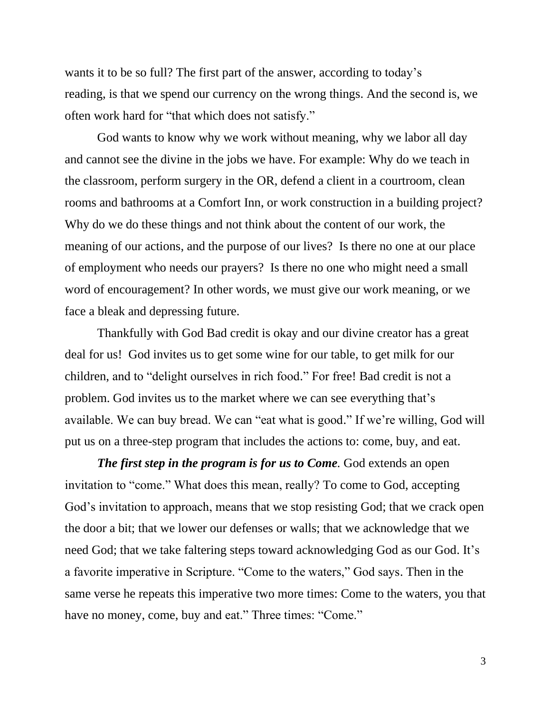wants it to be so full? The first part of the answer, according to today's reading, is that we spend our currency on the wrong things. And the second is, we often work hard for "that which does not satisfy."

God wants to know why we work without meaning, why we labor all day and cannot see the divine in the jobs we have. For example: Why do we teach in the classroom, perform surgery in the OR, defend a client in a courtroom, clean rooms and bathrooms at a Comfort Inn, or work construction in a building project? Why do we do these things and not think about the content of our work, the meaning of our actions, and the purpose of our lives? Is there no one at our place of employment who needs our prayers? Is there no one who might need a small word of encouragement? In other words, we must give our work meaning, or we face a bleak and depressing future.

Thankfully with God Bad credit is okay and our divine creator has a great deal for us! God invites us to get some wine for our table, to get milk for our children, and to "delight ourselves in rich food." For free! Bad credit is not a problem. God invites us to the market where we can see everything that's available. We can buy bread. We can "eat what is good." If we're willing, God will put us on a three-step program that includes the actions to: come, buy, and eat.

*The first step in the program is for us to Come.* God extends an open invitation to "come." What does this mean, really? To come to God, accepting God's invitation to approach, means that we stop resisting God; that we crack open the door a bit; that we lower our defenses or walls; that we acknowledge that we need God; that we take faltering steps toward acknowledging God as our God. It's a favorite imperative in Scripture. "Come to the waters," God says. Then in the same verse he repeats this imperative two more times: Come to the waters, you that have no money, come, buy and eat." Three times: "Come."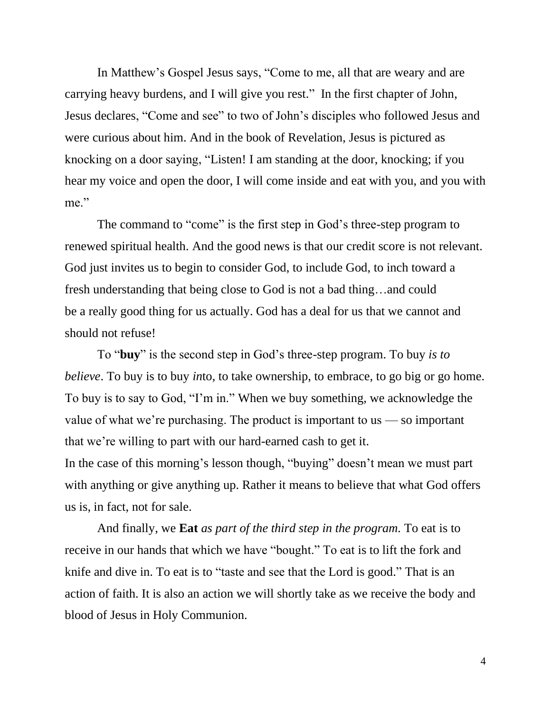In Matthew's Gospel Jesus says, "Come to me, all that are weary and are carrying heavy burdens, and I will give you rest." In the first chapter of John, Jesus declares, "Come and see" to two of John's disciples who followed Jesus and were curious about him. And in the book of Revelation, Jesus is pictured as knocking on a door saying, "Listen! I am standing at the door, knocking; if you hear my voice and open the door, I will come inside and eat with you, and you with me."

The command to "come" is the first step in God's three-step program to renewed spiritual health. And the good news is that our credit score is not relevant. God just invites us to begin to consider God, to include God, to inch toward a fresh understanding that being close to God is not a bad thing…and could be a really good thing for us actually. God has a deal for us that we cannot and should not refuse!

To "**buy**" is the second step in God's three-step program. To buy *is to believe*. To buy is to buy *in*to, to take ownership, to embrace, to go big or go home. To buy is to say to God, "I'm in." When we buy something, we acknowledge the value of what we're purchasing. The product is important to us — so important that we're willing to part with our hard-earned cash to get it. In the case of this morning's lesson though, "buying" doesn't mean we must part with anything or give anything up. Rather it means to believe that what God offers us is, in fact, not for sale.

And finally, we **Eat** *as part of the third step in the program.* To eat is to receive in our hands that which we have "bought." To eat is to lift the fork and knife and dive in. To eat is to "taste and see that the Lord is good." That is an action of faith. It is also an action we will shortly take as we receive the body and blood of Jesus in Holy Communion.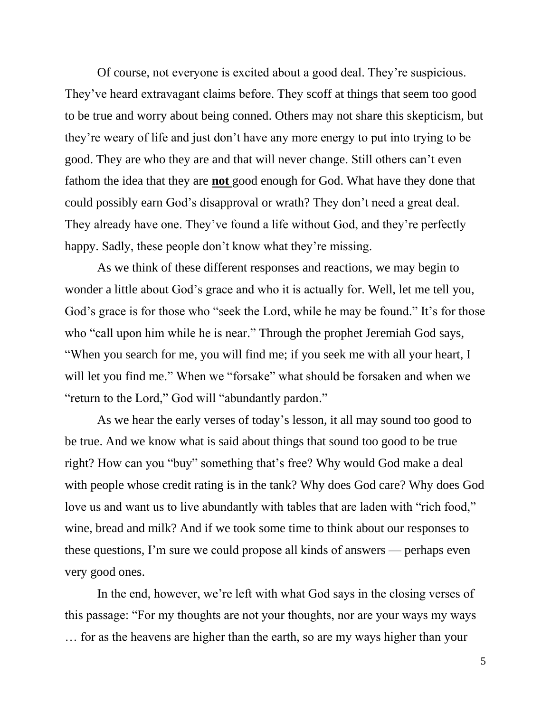Of course, not everyone is excited about a good deal. They're suspicious. They've heard extravagant claims before. They scoff at things that seem too good to be true and worry about being conned. Others may not share this skepticism, but they're weary of life and just don't have any more energy to put into trying to be good. They are who they are and that will never change. Still others can't even fathom the idea that they are **not** good enough for God. What have they done that could possibly earn God's disapproval or wrath? They don't need a great deal. They already have one. They've found a life without God, and they're perfectly happy. Sadly, these people don't know what they're missing.

As we think of these different responses and reactions, we may begin to wonder a little about God's grace and who it is actually for. Well, let me tell you, God's grace is for those who "seek the Lord, while he may be found." It's for those who "call upon him while he is near." Through the prophet Jeremiah God says, "When you search for me, you will find me; if you seek me with all your heart, I will let you find me." When we "forsake" what should be forsaken and when we "return to the Lord," God will "abundantly pardon."

As we hear the early verses of today's lesson, it all may sound too good to be true. And we know what is said about things that sound too good to be true right? How can you "buy" something that's free? Why would God make a deal with people whose credit rating is in the tank? Why does God care? Why does God love us and want us to live abundantly with tables that are laden with "rich food," wine, bread and milk? And if we took some time to think about our responses to these questions, I'm sure we could propose all kinds of answers — perhaps even very good ones.

In the end, however, we're left with what God says in the closing verses of this passage: "For my thoughts are not your thoughts, nor are your ways my ways … for as the heavens are higher than the earth, so are my ways higher than your